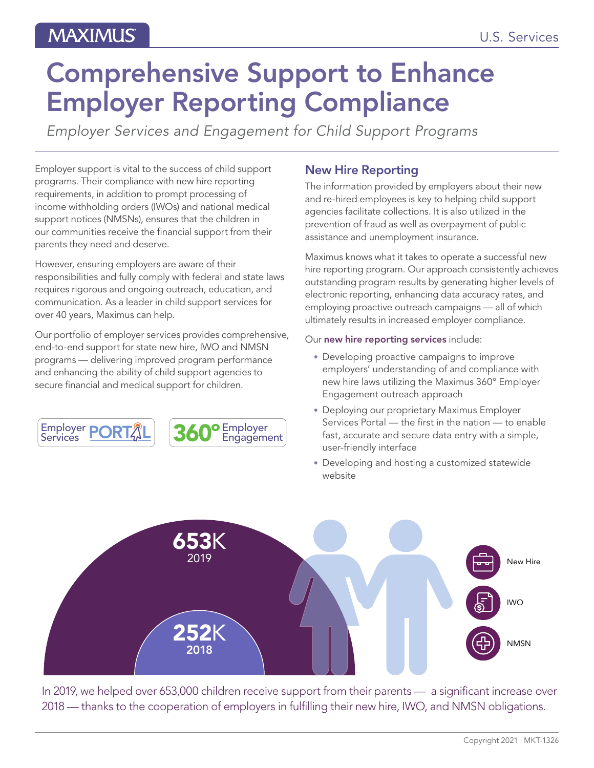# Comprehensive Support to Enhance Employer Reporting Compliance

*Employer Services and Engagement for Child Support Programs*

Employer support is vital to the success of child support programs. Their compliance with new hire reporting requirements, in addition to prompt processing of income withholding orders (IWOs) and national medical support notices (NMSNs), ensures that the children in our communities receive the financial support from their parents they need and deserve.

However, ensuring employers are aware of their responsibilities and fully comply with federal and state laws requires rigorous and ongoing outreach, education, and communication. As a leader in child support services for over 40 years, Maximus can help.

Our portfolio of employer services provides comprehensive, end-to-end support for state new hire, IWO and NMSN programs — delivering improved program performance and enhancing the ability of child support agencies to secure financial and medical support for children.





## New Hire Reporting

The information provided by employers about their new and re-hired employees is key to helping child support agencies facilitate collections. It is also utilized in the prevention of fraud as well as overpayment of public assistance and unemployment insurance.

Maximus knows what it takes to operate a successful new hire reporting program. Our approach consistently achieves outstanding program results by generating higher levels of electronic reporting, enhancing data accuracy rates, and employing proactive outreach campaigns — all of which ultimately results in increased employer compliance.

Our new hire reporting services include:

- Developing proactive campaigns to improve employers' understanding of and compliance with new hire laws utilizing the Maximus 360° Employer Engagement outreach approach
- Deploying our proprietary Maximus Employer Services Portal — the first in the nation — to enable fast, accurate and secure data entry with a simple, user-friendly interface
- Developing and hosting a customized statewide website



In 2019, we helped over 653,000 children receive support from their parents — a significant increase over 2018 — thanks to the cooperation of employers in fulfilling their new hire, IWO, and NMSN obligations.